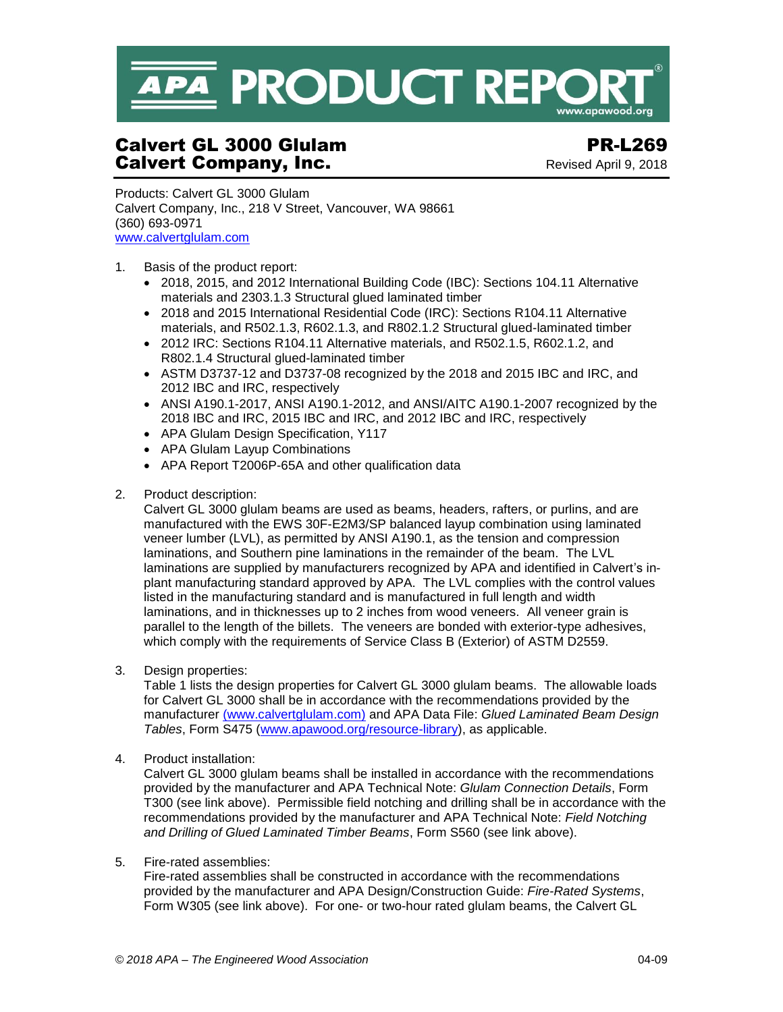

# Calvert GL 3000 Glulam PR-L269 **Calvert Company, Inc. Calvert Company, Inc.** Revised April 9, 2018

Products: Calvert GL 3000 Glulam Calvert Company, Inc., 218 V Street, Vancouver, WA 98661 (360) 693-0971 [www.calvertglulam.com](http://www.calvertglulam.com/)

- 1. Basis of the product report:
	- 2018, 2015, and 2012 International Building Code (IBC): Sections 104.11 Alternative materials and 2303.1.3 Structural glued laminated timber
	- 2018 and 2015 International Residential Code (IRC): Sections R104.11 Alternative materials, and R502.1.3, R602.1.3, and R802.1.2 Structural glued-laminated timber
	- 2012 IRC: Sections R104.11 Alternative materials, and R502.1.5, R602.1.2, and R802.1.4 Structural glued-laminated timber
	- ASTM D3737-12 and D3737-08 recognized by the 2018 and 2015 IBC and IRC, and 2012 IBC and IRC, respectively
	- ANSI A190.1-2017, ANSI A190.1-2012, and ANSI/AITC A190.1-2007 recognized by the 2018 IBC and IRC, 2015 IBC and IRC, and 2012 IBC and IRC, respectively
	- APA Glulam Design Specification, Y117
	- APA Glulam Layup Combinations
	- APA Report T2006P-65A and other qualification data
- 2. Product description:

Calvert GL 3000 glulam beams are used as beams, headers, rafters, or purlins, and are manufactured with the EWS 30F-E2M3/SP balanced layup combination using laminated veneer lumber (LVL), as permitted by ANSI A190.1, as the tension and compression laminations, and Southern pine laminations in the remainder of the beam. The LVL laminations are supplied by manufacturers recognized by APA and identified in Calvert's inplant manufacturing standard approved by APA. The LVL complies with the control values listed in the manufacturing standard and is manufactured in full length and width laminations, and in thicknesses up to 2 inches from wood veneers. All veneer grain is parallel to the length of the billets. The veneers are bonded with exterior-type adhesives, which comply with the requirements of Service Class B (Exterior) of ASTM D2559.

3. Design properties:

Table 1 lists the design properties for Calvert GL 3000 glulam beams. The allowable loads for Calvert GL 3000 shall be in accordance with the recommendations provided by the manufacturer [\(www.calvertglulam.com\)](http://www.calvertglulam.com/) and APA Data File: *Glued Laminated Beam Design Tables*, Form S475 [\(www.apawood.org/resource-library\)](http://www.apawood.org/resource-library), as applicable.

4. Product installation:

Calvert GL 3000 glulam beams shall be installed in accordance with the recommendations provided by the manufacturer and APA Technical Note: *Glulam Connection Details*, Form T300 (see link above). Permissible field notching and drilling shall be in accordance with the recommendations provided by the manufacturer and APA Technical Note: *Field Notching and Drilling of Glued Laminated Timber Beams*, Form S560 (see link above).

# 5. Fire-rated assemblies:

Fire-rated assemblies shall be constructed in accordance with the recommendations provided by the manufacturer and APA Design/Construction Guide: *Fire-Rated Systems*, Form W305 [\(see](http://www.apawood.org/publications) link above). For one- or two-hour rated glulam beams, the Calvert GL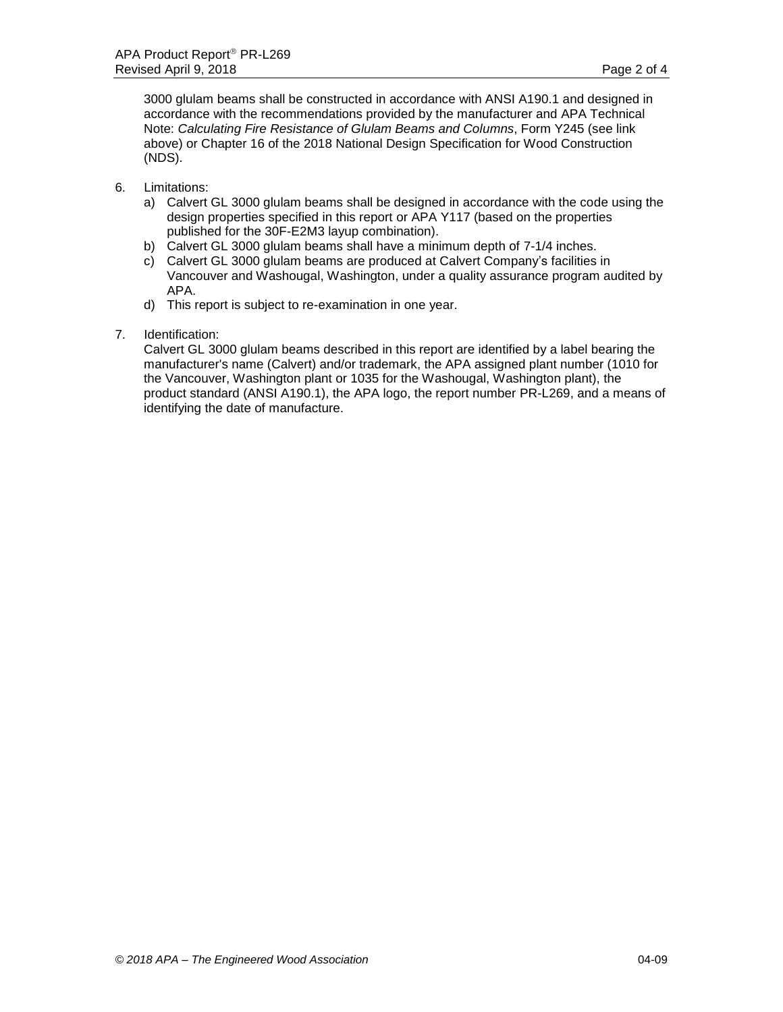3000 glulam beams shall be constructed in accordance with ANSI A190.1 and designed in accordance with the recommendations provided by the manufacturer and APA Technical Note: *Calculating Fire Resistance of Glulam Beams and Columns*, Form Y245 [\(see](http://www.apawood.org/publications) link above) or Chapter 16 of the 2018 National Design Specification for Wood Construction (NDS).

- 6. Limitations:
	- a) Calvert GL 3000 glulam beams shall be designed in accordance with the code using the design properties specified in this report or APA Y117 (based on the properties published for the 30F-E2M3 layup combination).
	- b) Calvert GL 3000 glulam beams shall have a minimum depth of 7-1/4 inches.
	- c) Calvert GL 3000 glulam beams are produced at Calvert Company's facilities in Vancouver and Washougal, Washington, under a quality assurance program audited by APA.
	- d) This report is subject to re-examination in one year.
- 7. Identification:

Calvert GL 3000 glulam beams described in this report are identified by a label bearing the manufacturer's name (Calvert) and/or trademark, the APA assigned plant number (1010 for the Vancouver, Washington plant or 1035 for the Washougal, Washington plant), the product standard (ANSI A190.1), the APA logo, the report number PR-L269, and a means of identifying the date of manufacture.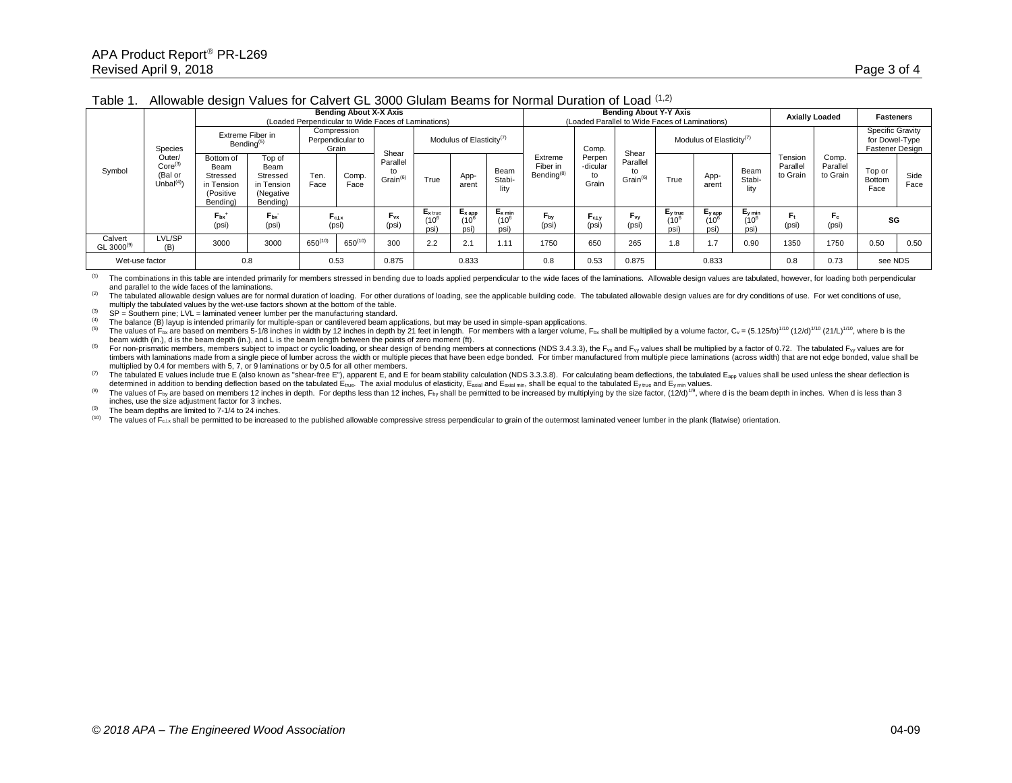## Table 1. Allowable design Values for Calvert GL 3000 Glulam Beams for Normal Duration of Load (1,2)

| Symbol                      | Species<br>Outer/<br>$Core^{(3)}$<br>(Bal or<br>Unbal <sup>(4)</sup> | <b>Bending About X-X Axis</b><br>(Loaded Perpendicular to Wide Faces of Laminations) |                                                                   |                                          |               |                                       |                                         |                                          | <b>Bending About Y-Y Axis</b><br>(Loaded Parallel to Wide Faces of Laminations) |                                               |                                   |                                        |                                      |                                | <b>Axially Loaded</b>          |                                 | <b>Fasteners</b>              |                                                       |              |
|-----------------------------|----------------------------------------------------------------------|--------------------------------------------------------------------------------------|-------------------------------------------------------------------|------------------------------------------|---------------|---------------------------------------|-----------------------------------------|------------------------------------------|---------------------------------------------------------------------------------|-----------------------------------------------|-----------------------------------|----------------------------------------|--------------------------------------|--------------------------------|--------------------------------|---------------------------------|-------------------------------|-------------------------------------------------------|--------------|
|                             |                                                                      | Extreme Fiber in<br>Bending <sup>(5)</sup>                                           |                                                                   | Compression<br>Perpendicular to<br>Grain |               | Shear                                 | Modulus of Elasticity <sup>(7)</sup>    |                                          |                                                                                 |                                               | Comp.                             | Shear                                  | Modulus of Elasticity <sup>(7)</sup> |                                |                                |                                 |                               | Specific Gravity<br>for Dowel-Type<br>Fastener Design |              |
|                             |                                                                      | Bottom of<br>Beam<br>Stressed<br>in Tension<br>(Positive<br>Bending)                 | Top of<br>Beam<br>Stressed<br>in Tension<br>(Negative<br>Bending) | Ten.<br>Face                             | Comp.<br>Face | Parallel<br>to<br>Grain <sup>(6</sup> | True                                    | App-<br>arent                            | Beam<br>Stabi-<br>lity                                                          | Extreme<br>Fiber in<br>Bending <sup>(8)</sup> | Perpen<br>-dicular<br>to<br>Grain | Parallel<br>to<br>Grain <sup>(6)</sup> | True                                 | App-<br>arent                  | Beam<br>Stabi-<br>lity         | Tension<br>Parallel<br>to Grain | Comp.<br>Parallel<br>to Grain | Top or<br>Bottom<br>Face                              | Side<br>Face |
|                             |                                                                      | $F_{bx}$<br>(psi)                                                                    | $F_{\text{bx}}$<br>(psi)                                          | $F_{\rm clx}$<br>(psi)                   |               | $F_{vx}$<br>(psi)                     | $E_{x \text{ true}}$<br>$(10^6$<br>psi) | $E_{x \text{ app}}$<br>$(10^{6}$<br>psi) | $E_{x min}$<br>$(10^k$<br>(psi                                                  | Fby<br>(psi)                                  | FcLv<br>(psi)                     | $F_{vy}$<br>(psi)                      | $E_{y\ true}$<br>$(10^6$<br>psi      | $E_{V}$ app<br>$(10^6$<br>psi) | $E_{y min}$<br>$(10^6$<br>psi) | ŀt,<br>(psi)                    | Fc<br>(psi)                   | SG                                                    |              |
| Calvert<br>GL 3000 $^{(9)}$ | LVL/SP<br>(B)                                                        | 3000                                                                                 | 3000                                                              | $650^{(10)}$                             | $650^{(10)}$  | 300                                   | 2.2                                     | 2.1                                      | 1.11                                                                            | 1750                                          | 650                               | 265                                    | 1.8                                  | 1.7                            | 0.90                           | 1350                            | 1750                          | 0.50                                                  | 0.50         |
| Wet-use factor              |                                                                      | 0.8                                                                                  |                                                                   | 0.53                                     |               | 0.875                                 | 0.833                                   |                                          | 0.8                                                                             | 0.53                                          | 0.875                             |                                        | 0.833                                |                                | 0.73<br>0.8                    |                                 | see NDS                       |                                                       |              |

(1) The combinations in this table are intended primarily for members stressed in bending due to loads applied perpendicular to the wide faces of the laminations. Allowable design values are tabulated, however, for loading and parallel to the wide faces of the laminations.

(2) The tabulated allowable design values are for normal duration of loading. For other durations of loading, see the applicable building code. The tabulated allowable design values are for dry conditions of use. For wet c multiply the tabulated values by the wet-use factors shown at the bottom of the table.

 $(3)$  SP = Southern pine; LVL = laminated veneer lumber per the manufacturing standard.

(4) The balance (B) layup is intended primarily for multiple-span or cantilevered beam applications, but may be used in simple-span applications.

The values of F<sub>bx</sub> are based on members 5-1/8 inches in width by 12 inches in depth by 21 feet in length. For members with a larger volume, F<sub>bx</sub> shall be multiplied by a volume factor, C<sub>v</sub> =  $(5.125/b)^{1/10}$  (12/d)<sup>1/1</sup> beam width (in.), d is the beam depth (in.), and L is the beam length between the points of zero moment (ft).

For non-prismatic members, members subject to impact or cyclic loading, or shear design of bending members at connections (NDS 3.4.3.3), the F<sub>w</sub> and F<sub>w</sub> values shall be multiplied by a factor of 0.72. The tabulated F<sub>w</sub> timbers with laminations made from a single piece of lumber across the width or multiple pieces that have been edge bonded. For timber manufactured from multiple piece laminations (across width) that are not edge bonded, v multiplied by 0.4 for members with 5, 7, or 9 laminations or by 0.5 for all other members.

(7) The tabulated E values include true E (also known as "shear-free E"), apparent E, and E for beam stability calculation (NDS 3.3.3.8). For calculating beam deflections, the tabulated E<sub>app</sub> values shall be used unless t determined in addition to bending deflection based on the tabulated  $\dot{E}_{\text{true}}$ . The axial modulus of elasticity,  $\dot{E}_{\text{axial}}$  and  $\dot{E}_{\text{axial}}$  and, shall be equal to the tabulated E<sub>v true</sub> and  $\dot{E}_{\text{y rule}}$  and  $\dot{E$ 

The values of F<sub>by</sub> are based on members 12 inches in depth. For depths less than 12 inches, F<sub>by</sub> shall be permitted to be increased by multiplying by the size factor,  $(12/d)^{19}$ , where d is the beam depth in inches. Wh inches, use the size adjustment factor for 3 inches.

(9) The beam depths are limited to  $7-1/4$  to 24 inches.<br>(10) The values of  $F_{\text{c}}$  shall be permitted to be increase

The values of  $F_{\text{clx}}$  shall be permitted to be increased to the published allowable compressive stress perpendicular to grain of the outermost laminated veneer lumber in the plank (flatwise) orientation.